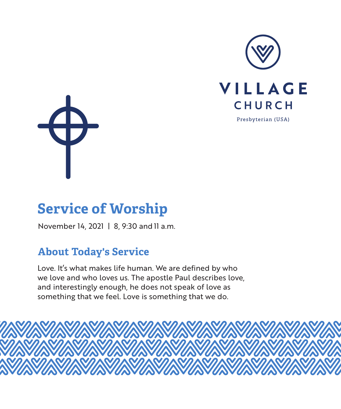



# **Service of Worship**

November 14, 2021 | 8, 9:30 and 11 a.m.

# **About Today's Service**

Love. It's what makes life human. We are defined by who we love and who loves us. The apostle Paul describes love, and interestingly enough, he does not speak of love as something that we feel. Love is something that we do.

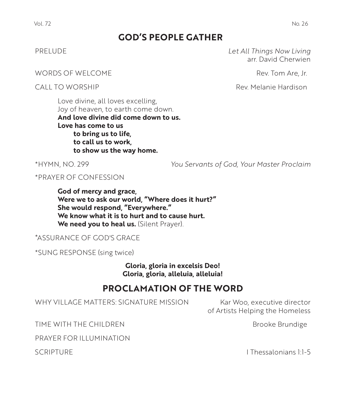# **GOD'S PEOPLE GATHER**

WORDS OF WELCOME Rev. Tom Are, Jr. No. 2014, The Rev. Tom Are, Jr. No. 2014, Tom Are, Jr. No. 2014, The Rev. Tom Are, Jr. No. 2014, The Rev. Tom Are, Jr. No. 2014, The Rev. Tom Are, Jr. No. 2014, The Rev. Tom Are, Jr. No.

Love divine, all loves excelling, Joy of heaven, to earth come down. **And love divine did come down to us. Love has come to us to bring us to life, to call us to work, to show us the way home.**

\*HYMN, NO. 299 *You Servants of God, Your Master Proclaim*

\*PRAYER OF CONFESSION

**God of mercy and grace, Were we to ask our world, "Where does it hurt?" She would respond, "Everywhere." We know what it is to hurt and to cause hurt. We need you to heal us.** (Silent Prayer).

\*ASSURANCE OF GOD'S GRACE

\*SUNG RESPONSE (sing twice)

**Gloria, gloria in excelsis Deo! Gloria, gloria, alleluia, alleluia!**

# **PROCLAMATION OF THE WORD**

WHY VILLAGE MATTERS: SIGNATURE MISSION Kar Woo, executive director

of Artists Helping the Homeless

TIME WITH THE CHILDREN BROOKE Brundige

PRAYER FOR ILLUMINATION

SCRIPTURE I Thessalonians 1:1-5

#### Vol. 72 No. 26

PRELUDE *Let All Things Now Living* arr. David Cherwien

CALL TO WORSHIP Rev. Melanie Hardison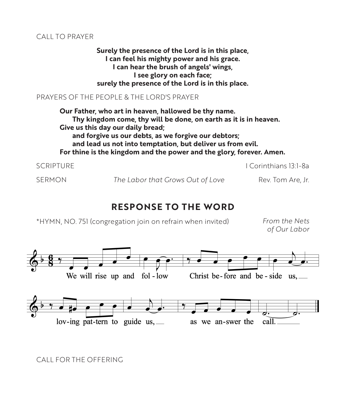CALL TO PRAYER

**Surely the presence of the Lord is in this place, I can feel his mighty power and his grace. I can hear the brush of angels' wings, I see glory on each face; surely the presence of the Lord is in this place.**

PRAYERS OF THE PEOPLE & THE LORD'S PRAYER

**Our Father, who art in heaven, hallowed be thy name. Thy kingdom come, thy will be done, on earth as it is in heaven. Give us this day our daily bread; and forgive us our debts, as we forgive our debtors; and lead us not into temptation, but deliver us from evil. For thine is the kingdom and the power and the glory, forever. Amen.**

| SCRIPTURE |                                  | I Corinthians 13:1-8a |
|-----------|----------------------------------|-----------------------|
| SERMON    | The Labor that Grows Out of Love | Rev. Tom Are, Jr.     |

# **RESPONSE TO THE WORD**

\*HYMN, NO. 751 (congregation join on refrain when invited) *From the Nets*

*of Our Labor*



CALL FOR THE OFFERING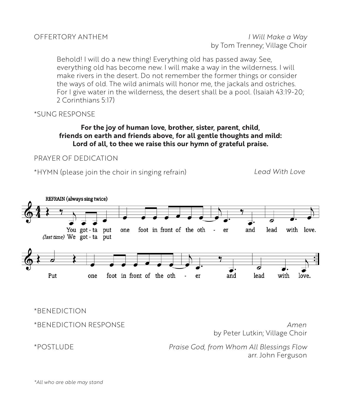Behold! I will do a new thing! Everything old has passed away. See, everything old has become new. I will make a way in the wilderness. I will make rivers in the desert. Do not remember the former things or consider the ways of old. The wild animals will honor me, the jackals and ostriches. For I give water in the wilderness, the desert shall be a pool. (Isaiah 43:19-20; 2 Corinthians 5:17)

\*SUNG RESPONSE

#### **For the joy of human love, brother, sister, parent, child, friends on earth and friends above, for all gentle thoughts and mild: Lord of all, to thee we raise this our hymn of grateful praise.**

PRAYER OF DEDICATION

\*HYMN (please join the choir in singing refrain) *Lead With Love*



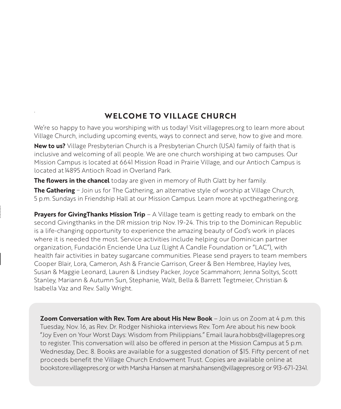# **WELCOME TO VILLAGE CHURCH**

We're so happy to have you worshiping with us today! Visit villagepres.org to learn more about Village Church, including upcoming events, ways to connect and serve, how to give and more.

**New to us?** Village Presbyterian Church is a Presbyterian Church (USA) family of faith that is inclusive and welcoming of all people. We are one church worshiping at two campuses. Our Mission Campus is located at 6641 Mission Road in Prairie Village, and our Antioch Campus is located at 14895 Antioch Road in Overland Park.

**The flowers in the chancel** today are given in memory of Ruth Glatt by her family.

.

**The Gathering** – Join us for The Gathering, an alternative style of worship at Village Church, 5 p.m. Sundays in Friendship Hall at our Mission Campus. Learn more at vpcthegathering.org.

**Prayers for GivingThanks Mission Trip** – A Village team is getting ready to embark on the second Givingthanks in the DR mission trip Nov. 19-24. This trip to the Dominican Republic is a life-changing opportunity to experience the amazing beauty of God's work in places where it is needed the most. Service activities include helping our Dominican partner organization, Fundación Enciende Una Luz (Light A Candle Foundation or "LAC"), with health fair activities in batey sugarcane communities. Please send prayers to team members Cooper Blair, Lora, Cameron, Ash & Francie Garrison, Greer & Ben Hembree, Hayley Ives, Susan & Maggie Leonard, Lauren & Lindsey Packer, Joyce Scammahorn; Jenna Soltys, Scott Stanley, Mariann & Autumn Sun, Stephanie, Walt, Bella & Barrett Tegtmeier, Christian & Isabella Vaz and Rev. Sally Wright.

**Zoom Conversation with Rev. Tom Are about His New Book** – Join us on Zoom at 4 p.m. this Tuesday, Nov. 16, as Rev. Dr. Rodger Nishioka interviews Rev. Tom Are about his new book "Joy Even on Your Worst Days: Wisdom from Philippians." Email laura.hobbs@villagepres.org to register. This conversation will also be offered in person at the Mission Campus at 5 p.m. Wednesday, Dec. 8. Books are available for a suggested donation of \$15. Fifty percent of net proceeds benefit the Village Church Endowment Trust. Copies are available online at bookstore.villagepres.org or with Marsha Hansen at marsha.hansen@villagepres.org or 913-671-2341.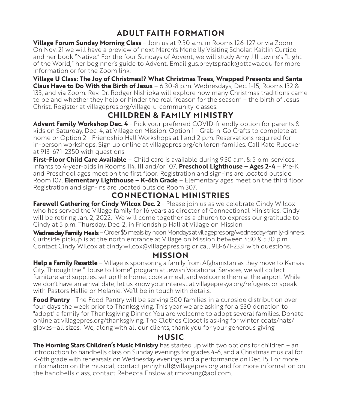# **ADULT FAITH FORMATION**

**Village Forum Sunday Morning Class** – Join us at 9:30 a.m. in Rooms 126-127 or via Zoom. On Nov. 21 we will have a preview of next March's Meneilly Visiting Scholar: Kaitlin Curtice and her book "Native." For the four Sundays of Advent, we will study Amy Jill Levine's "Light of the World," her beginner's guide to Advent. Email gus.breytspraak@ottawa.edu for more information or for the Zoom link.

**Village U Class: The Joy of Christmas!? What Christmas Trees, Wrapped Presents and Santa Claus Have to Do With the Birth of Jesus** – 6:30-8 p.m. Wednesdays, Dec. 1-15, Rooms 132 & 133, and via Zoom. Rev. Dr. Rodger Nishioka will explore how many Christmas traditions came to be and whether they help or hinder the real "reason for the season" – the birth of Jesus Christ. Register at villagepres.org/village-u-community-classes.

### **CHILDREN & FAMILY MINISTRY**

**Advent Family Workshop Dec. 4** - Pick your preferred COVID-friendly option for parents & kids on Saturday, Dec. 4, at Village on Mission: Option 1 - Grab-n-Go Crafts to complete at home or Option 2 - Friendship Hall Workshops at 1 and 2 p.m. Reservations required for in-person workshops. Sign up online at villagepres.org/children-families. Call Kate Ruecker at 913-671-2350 with questions.

**First-Floor Child Care Available** – Child care is available during 9:30 a.m. & 5 p.m. services. Infants to 4-year-olds in Rooms 114, 111 and/or 107. **Preschool Lighthouse – Ages 2-4** – Pre-K and Preschool ages meet on the first floor. Registration and sign-ins are located outside Room 107. **Elementary Lighthouse – K-6th Grade** – Elementary ages meet on the third floor. Registration and sign-ins are located outside Room 307.

### **CONNECTIONAL MINISTRIES**

**Farewell Gathering for Cindy Wilcox Dec. 2** - Please join us as we celebrate Cindy Wilcox who has served the Village family for 16 years as director of Connectional Ministries. Cindy will be retiring Jan. 2, 2022. We will come together as a church to express our gratitude to Cindy at 5 p.m. Thursday, Dec. 2, in Friendship Hall at Village on Mission.

**Wednesday Family Meals** – Order \$5 meals by noon Mondays at villagepres.org/wednesday-family-dinners. Curbside pickup is at the north entrance at Village on Mission between 4:30 & 5:30 p.m. Contact Cindy Wilcox at cindy.wilcox@villagepres.org or call 913-671-2331 with questions.

#### **MISSION**

**Help a Family Resettle** – Village is sponsoring a family from Afghanistan as they move to Kansas City. Through the "House to Home" program at Jewish Vocational Services, we will collect furniture and supplies, set up the home, cook a meal, and welcome them at the airport. While we don't have an arrival date, let us know your interest at villagepresya.org/refugees or speak with Pastors Hallie or Melanie. We'll be in touch with details.

**Food Pantry** - The Food Pantry will be serving 500 families in a curbside distribution over four days the week prior to Thanksgiving. This year we are asking for a \$30 donation to "adopt" a family for Thanksgiving Dinner. You are welcome to adopt several families. Donate online at villagepres.org/thanksgiving. The Clothes Closet is asking for winter coats/hats/ gloves—all sizes. We, along with all our clients, thank you for your generous giving.

#### **MUSIC**

**The Morning Stars Children's Music Ministry** has started up with two options for children – an introduction to handbells class on Sunday evenings for grades 4-6, and a Christmas musical for K-6th grade with rehearsals on Wednesday evenings and a performance on Dec. 15. For more information on the musical, contact jenny.hull@villagepres.org and for more information on the handbells class, contact Rebecca Enslow at rmozsing@aol.com.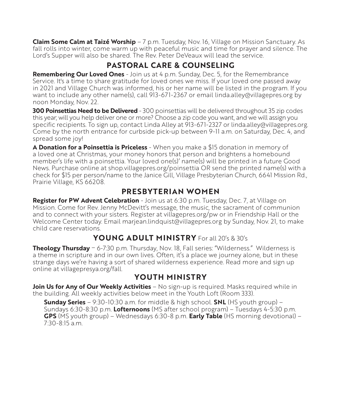**Claim Some Calm at Taizé Worship** – 7 p.m. Tuesday, Nov. 16, Village on Mission Sanctuary. As fall rolls into winter, come warm up with peaceful music and time for prayer and silence. The Lord's Supper will also be shared. The Rev. Peter DeVeaux will lead the service.

# **PASTORAL CARE & COUNSELING**

**Remembering Our Loved Ones** - Join us at 4 p.m. Sunday, Dec. 5, for the Remembrance Service. It's a time to share gratitude for loved ones we miss. If your loved one passed away in 2021 and Village Church was informed, his or her name will be listed in the program. If you want to include any other name(s), call 913-671-2367 or email linda.alley@villagepres.org by noon Monday, Nov. 22.

**300 Poinsettias Need to be Delivered** - 300 poinsettias will be delivered throughout 35 zip codes this year; will you help deliver one or more? Choose a zip code you want, and we will assign you specific recipients. To sign up, contact Linda Alley at 913-671-2327 or linda.alley@villagepres.org. Come by the north entrance for curbside pick-up between 9-11 a.m. on Saturday, Dec. 4, and spread some joy!

**A Donation for a Poinsettia is Priceless** - When you make a \$15 donation in memory of a loved one at Christmas, your money honors that person and brightens a homebound member's life with a poinsettia. Your loved one(s)' name(s) will be printed in a future Good News. Purchase online at shop.villagepres.org/poinsettia OR send the printed name(s) with a check for \$15 per person/name to the Janice Gill, Village Presbyterian Church, 6641 Mission Rd., Prairie Village, KS 66208.

# **PRESBYTERIAN WOMEN**

**Register for PW Advent Celebration** - Join us at 6:30 p.m. Tuesday, Dec. 7, at Village on Mission. Come for Rev. Jenny McDevitt's message, the music, the sacrament of communion and to connect with your sisters. Register at villagepres.org/pw or in Friendship Hall or the Welcome Center today. Email marjean.lindquist@villagepres.org by Sunday, Nov. 21, to make child care reservations.

# **YOUNG ADULT MINISTRY** For all 20's & 30's

**Theology Thursday** – 6-7:30 p.m. Thursday, Nov. 18, Fall series: "Wilderness." Wilderness is a theme in scripture and in our own lives. Often, it's a place we journey alone, but in these strange days we're having a sort of shared wilderness experience. Read more and sign up online at villagepresya.org/fall.

# **YOUTH MINISTRY**

**Join Us for Any of Our Weekly Activities** – No sign-up is required. Masks required while in the building. All weekly activities below meet in the Youth Loft (Room 333).

**Sunday Series** – 9:30-10:30 a.m. for middle & high school. **SNL** (HS youth group) – Sundays 6:30-8:30 p.m. **Lofternoons** (MS after school program) – Tuesdays 4-5:30 p.m. **GPS** (MS youth group) – Wednesdays 6:30-8 p.m. **Early Table** (HS morning devotional) –  $7.30 - 8.15$  a.m.